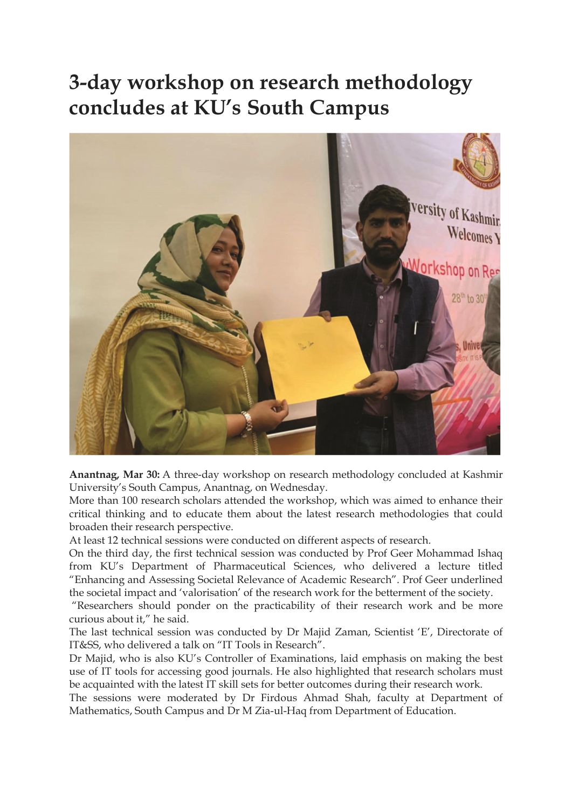## 3-day workshop on research methodology concludes at KU's South Campus



Anantnag, Mar 30: A three-day workshop on research methodology concluded at Kashmir University's South Campus, Anantnag, on Wednesday.

More than 100 research scholars attended the workshop, which was aimed to enhance their critical thinking and to educate them about the latest research methodologies that could broaden their research perspective.

At least 12 technical sessions were conducted on different aspects of research.

On the third day, the first technical session was conducted by Prof Geer Mohammad Ishaq from KU's Department of Pharmaceutical Sciences, who delivered a lecture titled "Enhancing and Assessing Societal Relevance of Academic Research". Prof Geer underlined the societal impact and 'valorisation' of the research work for the betterment of the society.

 "Researchers should ponder on the practicability of their research work and be more curious about it," he said.

The last technical session was conducted by Dr Majid Zaman, Scientist 'E', Directorate of IT&SS, who delivered a talk on "IT Tools in Research".

Dr Majid, who is also KU's Controller of Examinations, laid emphasis on making the best use of IT tools for accessing good journals. He also highlighted that research scholars must be acquainted with the latest IT skill sets for better outcomes during their research work.

The sessions were moderated by Dr Firdous Ahmad Shah, faculty at Department of Mathematics, South Campus and Dr M Zia-ul-Haq from Department of Education.